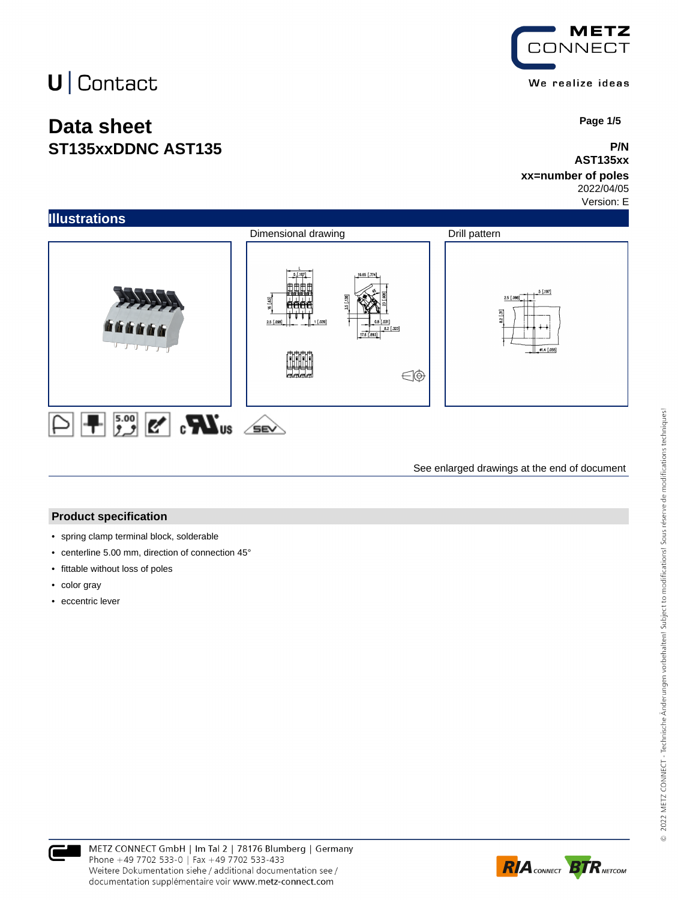# $U$  Contact

## **Data sheet ST135xxDDNC AST135**



 **Page 1/5**

### **P/N AST135xx**

#### **xx=number of poles** 2022/04/05

Version: E



See enlarged drawings at the end of document

### **Product specification**

- spring clamp terminal block, solderable
- centerline 5.00 mm, direction of connection 45°
- fittable without loss of poles
- color gray
- eccentric lever



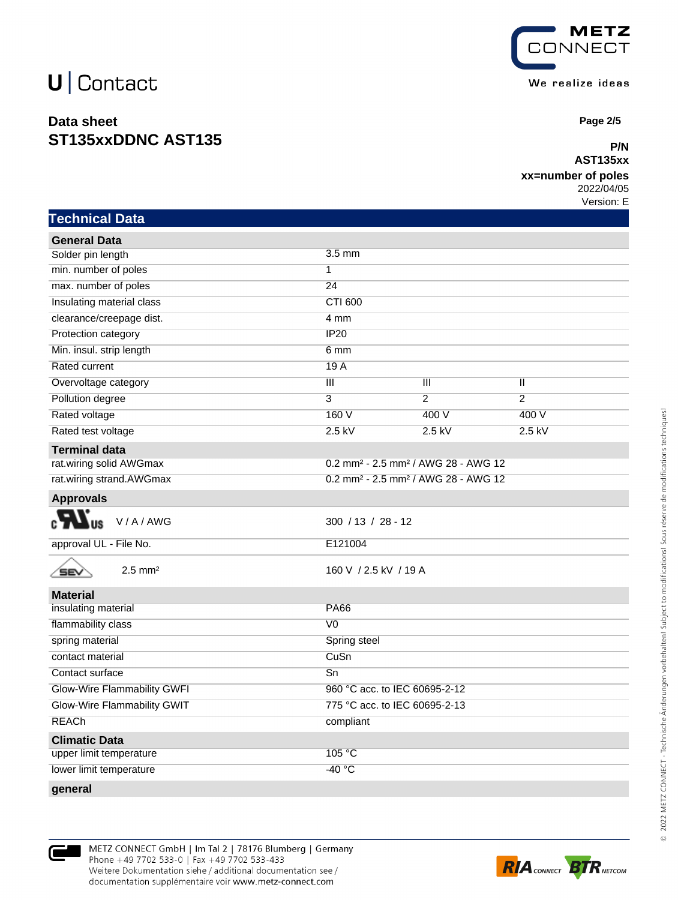# $U$  Contact

## **Data sheet ST135xxDDNC AST135**



 **Page 2/5**

### **P/N AST135xx**

### **xx=number of poles**

2022/04/05

Version: E

|  | Technical Data |
|--|----------------|
|  |                |

| <b>General Data</b>                                          |                                                             |                |                |
|--------------------------------------------------------------|-------------------------------------------------------------|----------------|----------------|
| Solder pin length                                            | 3.5 mm                                                      |                |                |
| min. number of poles                                         | $\overline{1}$                                              |                |                |
| max. number of poles                                         | 24                                                          |                |                |
| Insulating material class                                    | <b>CTI 600</b>                                              |                |                |
| clearance/creepage dist.                                     | 4 mm                                                        |                |                |
| Protection category                                          | IP20                                                        |                |                |
| Min. insul. strip length                                     | 6 mm                                                        |                |                |
| Rated current                                                | 19A                                                         |                |                |
| Overvoltage category                                         | $\overline{\mathsf{III}}$                                   | Ш              | Ш              |
| Pollution degree                                             | $\overline{3}$                                              | $\overline{2}$ | $\overline{2}$ |
| Rated voltage                                                | 160V                                                        | 400 V          | 400 V          |
| Rated test voltage                                           | $2.5$ kV                                                    | $2.5$ kV       | $2.5$ kV       |
| <b>Terminal data</b>                                         |                                                             |                |                |
| rat.wiring solid AWGmax                                      | 0.2 mm <sup>2</sup> - 2.5 mm <sup>2</sup> / AWG 28 - AWG 12 |                |                |
| rat.wiring strand.AWGmax                                     | 0.2 mm <sup>2</sup> - 2.5 mm <sup>2</sup> / AWG 28 - AWG 12 |                |                |
| <b>Approvals</b>                                             |                                                             |                |                |
| V/A/AWG                                                      | 300 / 13 / 28 - 12                                          |                |                |
| approval UL - File No.                                       | E121004                                                     |                |                |
| $2.5$ mm <sup>2</sup><br>SEN                                 | 160 V / 2.5 kV / 19 A                                       |                |                |
| <b>Material</b>                                              |                                                             |                |                |
| insulating material                                          | <b>PA66</b>                                                 |                |                |
| flammability class                                           | V <sub>0</sub>                                              |                |                |
| spring material                                              | Spring steel                                                |                |                |
| contact material                                             | CuSn                                                        |                |                |
| Contact surface                                              | Sn                                                          |                |                |
| Glow-Wire Flammability GWFI<br>960 °C acc. to IEC 60695-2-12 |                                                             |                |                |
| Glow-Wire Flammability GWIT                                  | 775 °C acc. to IEC 60695-2-13                               |                |                |
| <b>REACh</b>                                                 | compliant                                                   |                |                |
| <b>Climatic Data</b>                                         |                                                             |                |                |
| upper limit temperature                                      | 105 °C                                                      |                |                |
| lower limit temperature                                      | $-40 °C$                                                    |                |                |
|                                                              |                                                             |                |                |

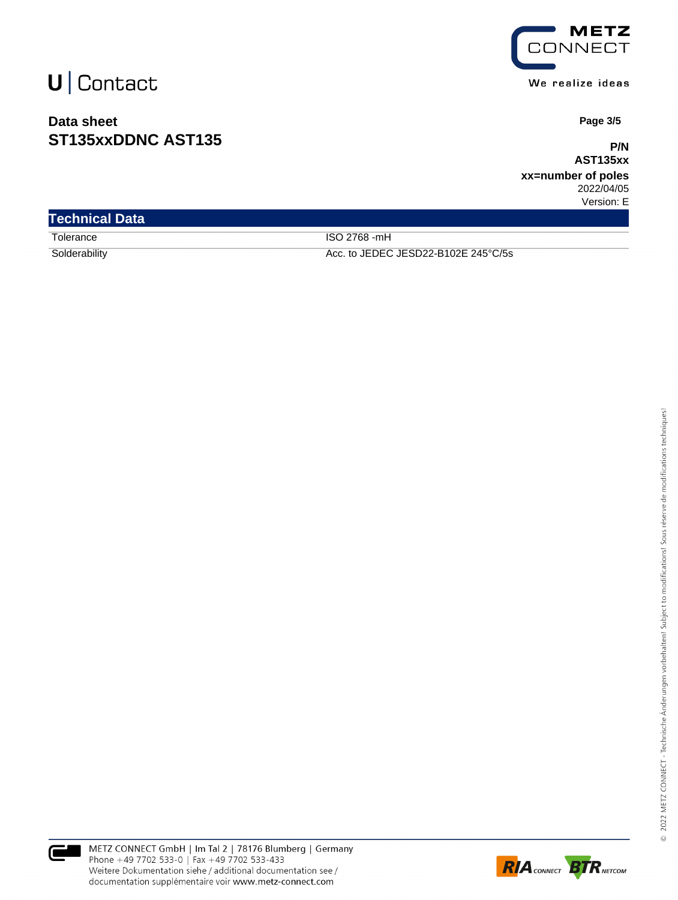# $U$  Contact

## **Data sheet ST135xxDDNC AST135**



We realize ideas

 **Page 3/5**

**P/N AST135xx**

**xx=number of poles** 2022/04/05 Version: E

| <b>Technical Data</b> |                                     |  |
|-----------------------|-------------------------------------|--|
| Tolerance             | ISO 2768 -mH                        |  |
| Solderability         | Acc. to JEDEC JESD22-B102E 245°C/5s |  |



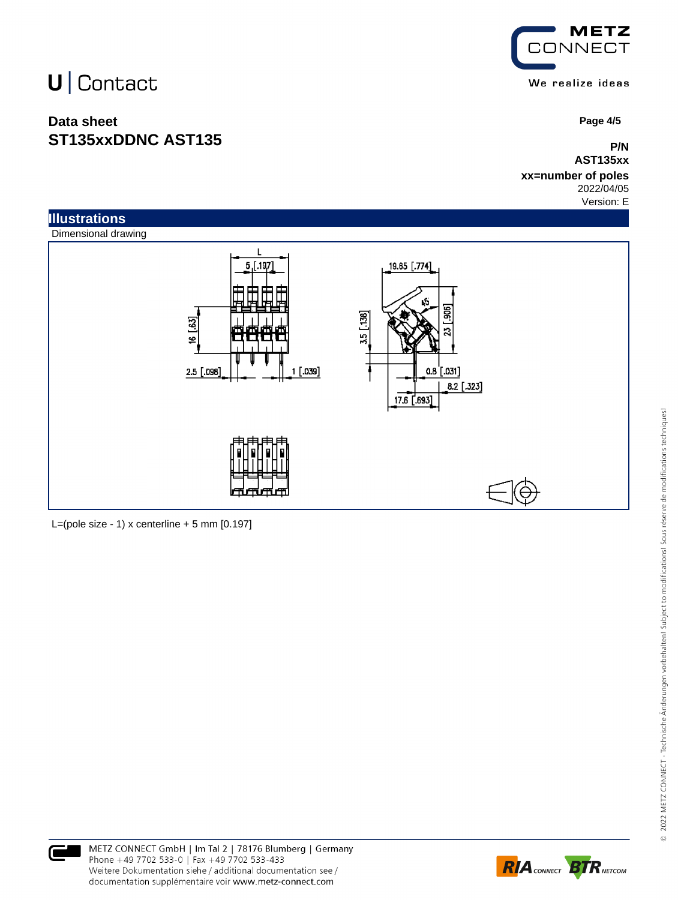# U | Contact

## **Data sheet ST135xxDDNC AST135**



 **Page 4/5**

**P/N AST135xx**

**xx=number of poles** 2022/04/05

Version: E



L=(pole size - 1) x centerline  $+5$  mm  $[0.197]$